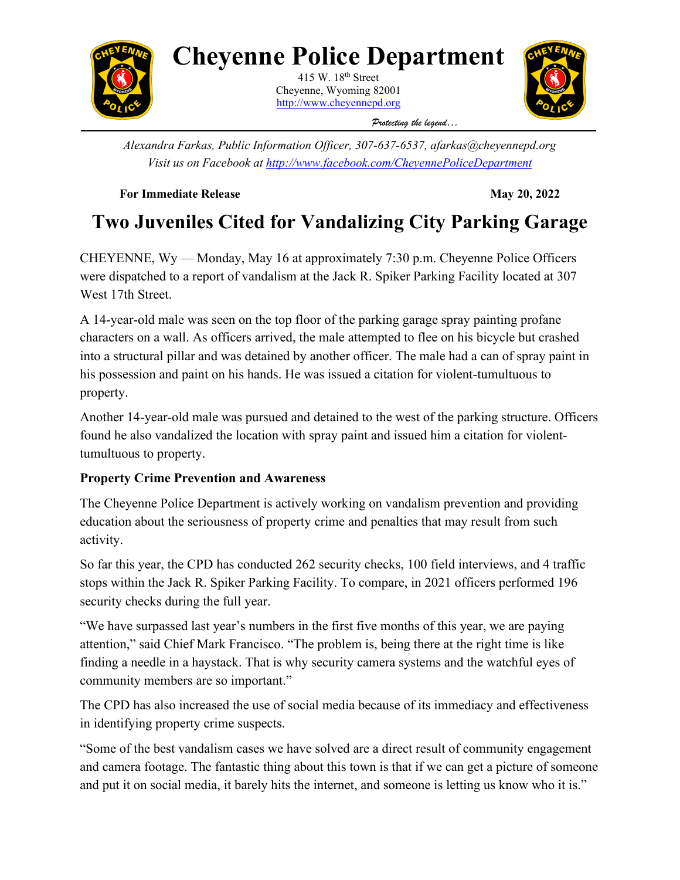

## **Cheyenne Police Department**

415 W.  $18<sup>th</sup>$  Street Cheyenne, Wyoming 82001 [http://www.cheyennepd.org](http://www.cheyennepd.org/)



*Protecting the legend…* 

*Alexandra Farkas, Public Information Officer, 307-637-6537, afarkas@cheyennepd.org Visit us on Facebook at<http://www.facebook.com/CheyennePoliceDepartment>*

**For Immediate Release May 20, 2022** 

## **Two Juveniles Cited for Vandalizing City Parking Garage**

CHEYENNE, Wy — Monday, May 16 at approximately 7:30 p.m. Cheyenne Police Officers were dispatched to a report of vandalism at the Jack R. Spiker Parking Facility located at 307 West 17th Street.

A 14-year-old male was seen on the top floor of the parking garage spray painting profane characters on a wall. As officers arrived, the male attempted to flee on his bicycle but crashed into a structural pillar and was detained by another officer. The male had a can of spray paint in his possession and paint on his hands. He was issued a citation for violent-tumultuous to property.

Another 14-year-old male was pursued and detained to the west of the parking structure. Officers found he also vandalized the location with spray paint and issued him a citation for violenttumultuous to property.

## **Property Crime Prevention and Awareness**

The Cheyenne Police Department is actively working on vandalism prevention and providing education about the seriousness of property crime and penalties that may result from such activity.

So far this year, the CPD has conducted 262 security checks, 100 field interviews, and 4 traffic stops within the Jack R. Spiker Parking Facility. To compare, in 2021 officers performed 196 security checks during the full year.

"We have surpassed last year's numbers in the first five months of this year, we are paying attention," said Chief Mark Francisco. "The problem is, being there at the right time is like finding a needle in a haystack. That is why security camera systems and the watchful eyes of community members are so important."

The CPD has also increased the use of social media because of its immediacy and effectiveness in identifying property crime suspects.

"Some of the best vandalism cases we have solved are a direct result of community engagement and camera footage. The fantastic thing about this town is that if we can get a picture of someone and put it on social media, it barely hits the internet, and someone is letting us know who it is."